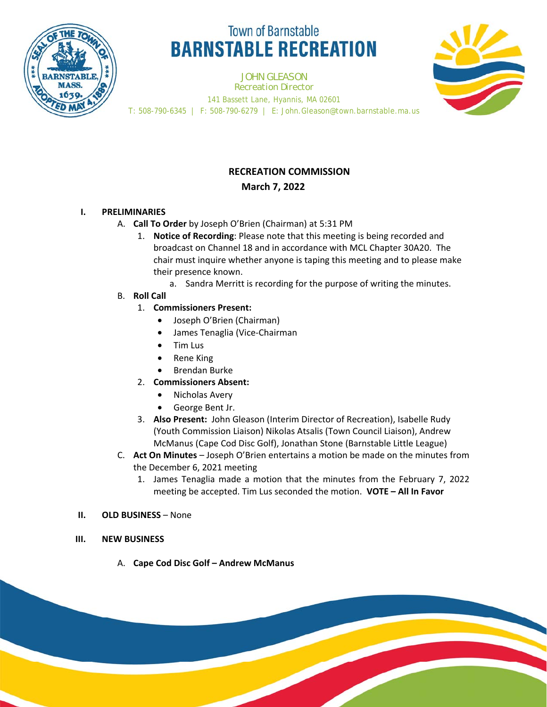

# **Town of Barnstable BARNSTABLE RECREATION**

JOHN GLEASON *Recreation Director* 141 Bassett Lane, Hyannis, MA 02601 T: 508-790-6345 | F: 508-790-6279 | E: John.Gleason@town.barnstable.ma.us



## **RECREATION COMMISSION March 7, 2022**

## **I. PRELIMINARIES**

- A. **Call To Order** by Joseph O'Brien (Chairman) at 5:31 PM
	- 1. **Notice of Recording**: Please note that this meeting is being recorded and broadcast on Channel 18 and in accordance with MCL Chapter 30A20. The chair must inquire whether anyone is taping this meeting and to please make their presence known.
		- a. Sandra Merritt is recording for the purpose of writing the minutes.
- B. **Roll Call**
	- 1. **Commissioners Present:** 
		- Joseph O'Brien (Chairman)
		- James Tenaglia (Vice-Chairman
		- Tim Lus
		- Rene King
		- Brendan Burke
	- 2. **Commissioners Absent:** 
		- Nicholas Avery
		- George Bent Jr.
	- 3. **Also Present:** John Gleason (Interim Director of Recreation), Isabelle Rudy (Youth Commission Liaison) Nikolas Atsalis (Town Council Liaison), Andrew McManus (Cape Cod Disc Golf), Jonathan Stone (Barnstable Little League)
- C. **Act On Minutes**  Joseph O'Brien entertains a motion be made on the minutes from the December 6, 2021 meeting
	- 1. James Tenaglia made a motion that the minutes from the February 7, 2022 meeting be accepted. Tim Lus seconded the motion. **VOTE – All In Favor**

### **II. OLD BUSINESS** – None

- **III. NEW BUSINESS**
	- A. **Cape Cod Disc Golf Andrew McManus**

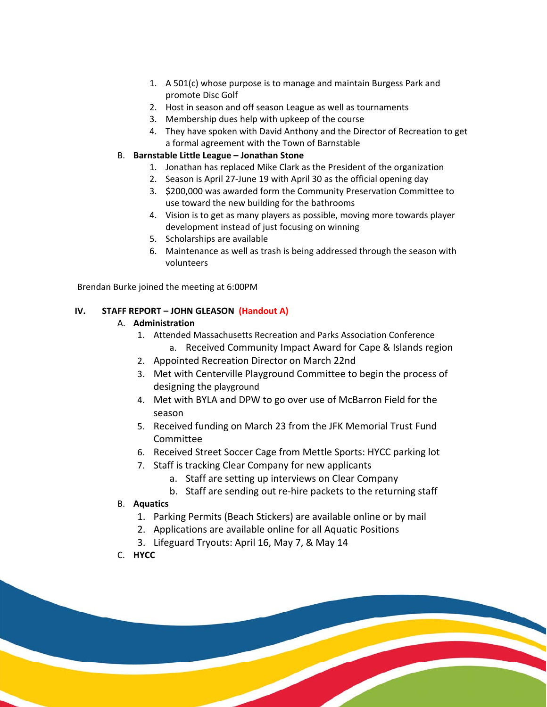- 1. A 501(c) whose purpose is to manage and maintain Burgess Park and promote Disc Golf
- 2. Host in season and off season League as well as tournaments
- 3. Membership dues help with upkeep of the course
- 4. They have spoken with David Anthony and the Director of Recreation to get a formal agreement with the Town of Barnstable

## B. **Barnstable Little League – Jonathan Stone**

- 1. Jonathan has replaced Mike Clark as the President of the organization
- 2. Season is April 27-June 19 with April 30 as the official opening day
- 3. \$200,000 was awarded form the Community Preservation Committee to use toward the new building for the bathrooms
- 4. Vision is to get as many players as possible, moving more towards player development instead of just focusing on winning
- 5. Scholarships are available
- 6. Maintenance as well as trash is being addressed through the season with volunteers

Brendan Burke joined the meeting at 6:00PM

## **IV. STAFF REPORT – JOHN GLEASON (Handout A)**

## A. **Administration**

- 1. Attended Massachusetts Recreation and Parks Association Conference
	- a. Received Community Impact Award for Cape & Islands region
- 2. Appointed Recreation Director on March 22nd
- 3. Met with Centerville Playground Committee to begin the process of designing the playground
- 4. Met with BYLA and DPW to go over use of McBarron Field for the season
- 5. Received funding on March 23 from the JFK Memorial Trust Fund Committee
- 6. Received Street Soccer Cage from Mettle Sports: HYCC parking lot
- 7. Staff is tracking Clear Company for new applicants
	- a. Staff are setting up interviews on Clear Company
	- b. Staff are sending out re-hire packets to the returning staff

## B. **Aquatics**

- 1. Parking Permits (Beach Stickers) are available online or by mail
- 2. Applications are available online for all Aquatic Positions
- 3. Lifeguard Tryouts: April 16, May 7, & May 14
- C. **HYCC**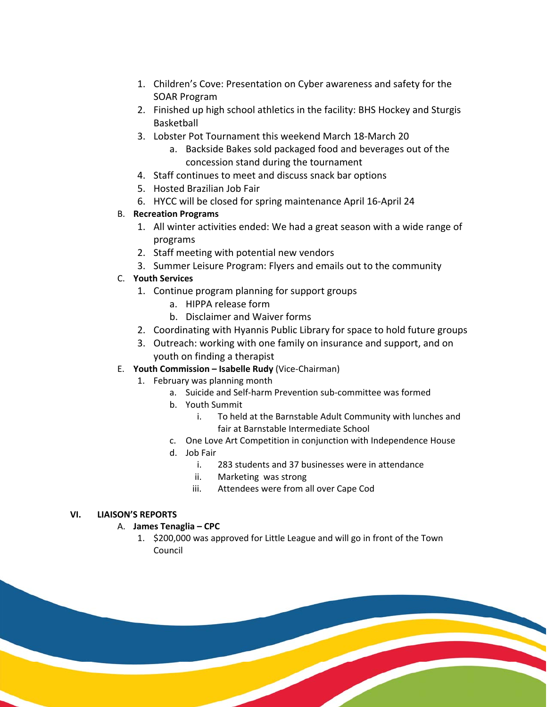- 1. Children's Cove: Presentation on Cyber awareness and safety for the SOAR Program
- 2. Finished up high school athletics in the facility: BHS Hockey and Sturgis Basketball
- 3. Lobster Pot Tournament this weekend March 18-March 20
	- a. Backside Bakes sold packaged food and beverages out of the concession stand during the tournament
- 4. Staff continues to meet and discuss snack bar options
- 5. Hosted Brazilian Job Fair
- 6. HYCC will be closed for spring maintenance April 16-April 24

## B. **Recreation Programs**

- 1. All winter activities ended: We had a great season with a wide range of programs
- 2. Staff meeting with potential new vendors
- 3. Summer Leisure Program: Flyers and emails out to the community

## C. **Youth Services**

- 1. Continue program planning for support groups
	- a. HIPPA release form
	- b. Disclaimer and Waiver forms
- 2. Coordinating with Hyannis Public Library for space to hold future groups
- 3. Outreach: working with one family on insurance and support, and on youth on finding a therapist

## E. **Youth Commission – Isabelle Rudy** (Vice-Chairman)

- 1. February was planning month
	- a. Suicide and Self-harm Prevention sub-committee was formed
	- b. Youth Summit
		- i. To held at the Barnstable Adult Community with lunches and fair at Barnstable Intermediate School
	- c. One Love Art Competition in conjunction with Independence House
	- d. Job Fair
		- i. 283 students and 37 businesses were in attendance
		- ii. Marketing was strong
		- iii. Attendees were from all over Cape Cod

#### **VI. LIAISON'S REPORTS**

#### A. **James Tenaglia – CPC**

1. \$200,000 was approved for Little League and will go in front of the Town Council